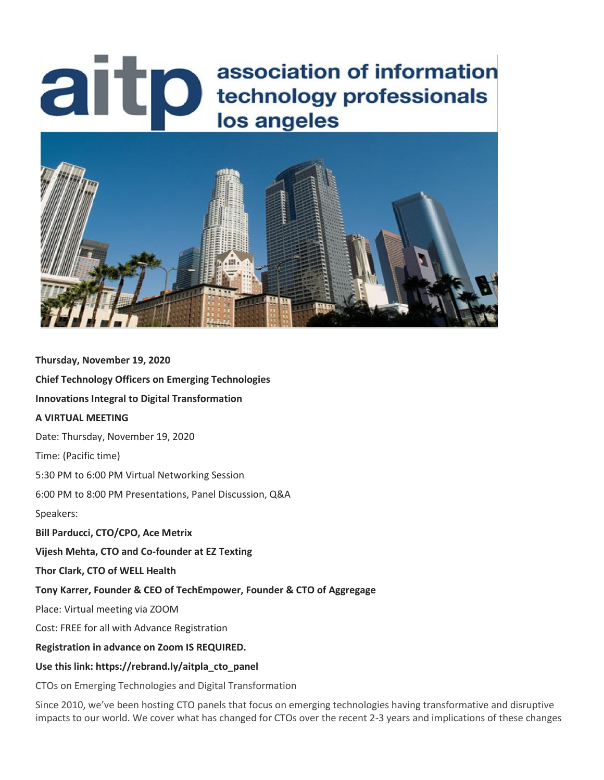# association of information<br>lechnology professionals<br>los angeles association of information los angeles



**Thursday, November 19, 2020 Chief Technology Officers on Emerging Technologies Innovations Integral to Digital Transformation A VIRTUAL MEETING**  Date: Thursday, November 19, 2020 Time: (Pacific time) 5:30 PM to 6:00 PM Virtual Networking Session 6:00 PM to 8:00 PM Presentations, Panel Discussion, Q&A Speakers: **Bill Parducci, CTO/CPO, Ace Metrix Vijesh Mehta, CTO and Co-founder at EZ Texting Thor Clark, CTO of WELL Health Tony Karrer, Founder & CEO of TechEmpower, Founder & CTO of Aggregage** Place: Virtual meeting via ZOOM Cost: FREE for all with Advance Registration **Registration in advance on Zoom IS REQUIRED. Use this link: https://rebrand.ly/aitpla\_cto\_panel** CTOs on Emerging Technologies and Digital Transformation

Since 2010, we've been hosting CTO panels that focus on emerging technologies having transformative and disruptive impacts to our world. We cover what has changed for CTOs over the recent 2-3 years and implications of these changes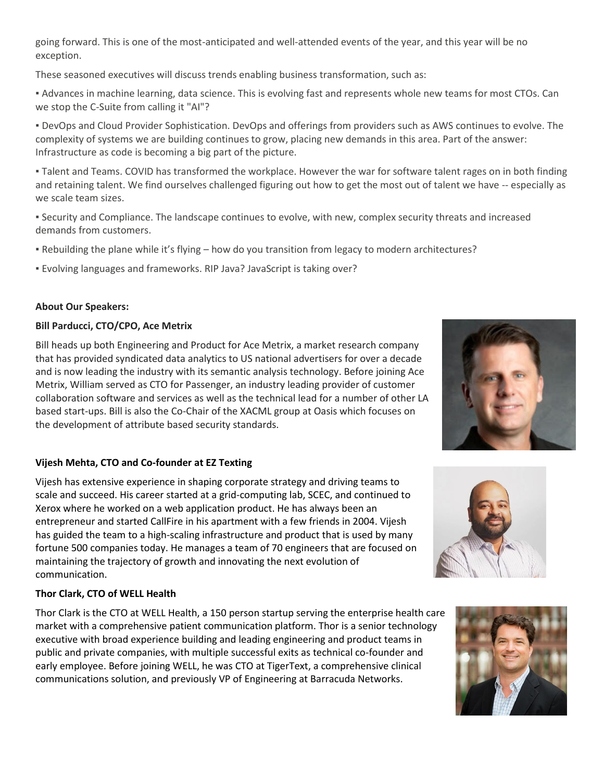going forward. This is one of the most-anticipated and well-attended events of the year, and this year will be no exception.

These seasoned executives will discuss trends enabling business transformation, such as:

▪ Advances in machine learning, data science. This is evolving fast and represents whole new teams for most CTOs. Can we stop the C-Suite from calling it "AI"?

▪ DevOps and Cloud Provider Sophistication. DevOps and offerings from providers such as AWS continues to evolve. The complexity of systems we are building continues to grow, placing new demands in this area. Part of the answer: Infrastructure as code is becoming a big part of the picture.

▪ Talent and Teams. COVID has transformed the workplace. However the war for software talent rages on in both finding and retaining talent. We find ourselves challenged figuring out how to get the most out of talent we have -- especially as we scale team sizes.

▪ Security and Compliance. The landscape continues to evolve, with new, complex security threats and increased demands from customers.

- Rebuilding the plane while it's flying how do you transition from legacy to modern architectures?
- Evolving languages and frameworks. RIP Java? JavaScript is taking over?

#### **About Our Speakers:**

#### **Bill Parducci, CTO/CPO, Ace Metrix**

Bill heads up both Engineering and Product for Ace Metrix, a market research company that has provided syndicated data analytics to US national advertisers for over a decade and is now leading the industry with its semantic analysis technology. Before joining Ace Metrix, William served as CTO for Passenger, an industry leading provider of customer collaboration software and services as well as the technical lead for a number of other LA based start-ups. Bill is also the Co-Chair of the XACML group at Oasis which focuses on the development of attribute based security standards.

## **Vijesh Mehta, CTO and Co-founder at EZ Texting**

Vijesh has extensive experience in shaping corporate strategy and driving teams to scale and succeed. His career started at a grid-computing lab, SCEC, and continued to Xerox where he worked on a web application product. He has always been an entrepreneur and started CallFire in his apartment with a few friends in 2004. Vijesh has guided the team to a high-scaling infrastructure and product that is used by many fortune 500 companies today. He manages a team of 70 engineers that are focused on maintaining the trajectory of growth and innovating the next evolution of communication.

## **Thor Clark, CTO of WELL Health**

Thor Clark is the CTO at WELL Health, a 150 person startup serving the enterprise health care market with a comprehensive patient communication platform. Thor is a senior technology executive with broad experience building and leading engineering and product teams in public and private companies, with multiple successful exits as technical co-founder and early employee. Before joining WELL, he was CTO at TigerText, a comprehensive clinical communications solution, and previously VP of Engineering at Barracuda Networks.